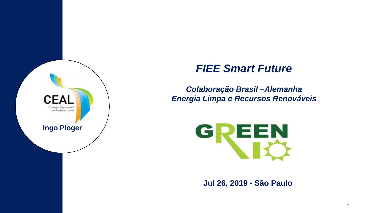

### *FIEE Smart Future*

*Colaboração Brasil –Alemanha Energia Limpa e Recursos Renováveis*



**Jul 26, 2019 - São Paulo** 

1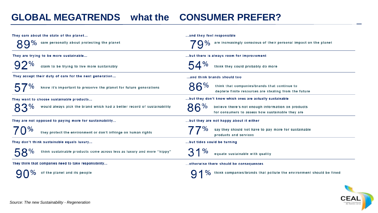### **GLOBAL MEGATRENDS what the CONSUMER PREFER?**

| They care about the state of the planet                                 | and they feel responsible                                                                                    |  |  |  |
|-------------------------------------------------------------------------|--------------------------------------------------------------------------------------------------------------|--|--|--|
| care personally about protecting the planet                             | are increasingly conscious of their personal impact on the planet                                            |  |  |  |
| They are trying to be more sustainable                                  | but there is always room for improvement                                                                     |  |  |  |
| claim to be trying to live more sustainably                             | think they could probably do more                                                                            |  |  |  |
| They accept their duty of care for the next generation                  | and think brands should too                                                                                  |  |  |  |
| know it's important to preserve the planet for future generations       | 86%<br>think that companies/brands that continue to<br>deplete finite resources are stealing from the future |  |  |  |
| They want to choose sustainable products                                | but they don't know which ones are actually sustainable                                                      |  |  |  |
| would always pick the brand which had a better record of sustainability | believe there's not enough information on products<br>for consumers to assess how sustainable they are       |  |  |  |
| They are not opposed to paying more for sustainability                  | but they are not happy about it either                                                                       |  |  |  |
| they protect the environment or don't infringe on human rights          | say they should not have to pay more for sustainable<br>products and services                                |  |  |  |
| They don't think sustainable equals luxury                              | but tides could be turning                                                                                   |  |  |  |
| think sustainable products come across less as luxury and more "hippy"  | equate sustainable with quality                                                                              |  |  |  |
| They think that companies need to take responsibility                   | otherwise there should be consequences                                                                       |  |  |  |
| of the planet and its people                                            | think companies/brands that pollute the environment should be fined                                          |  |  |  |

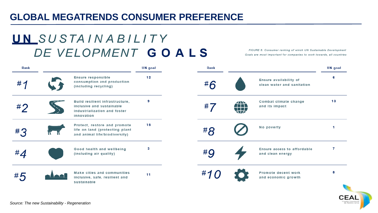#### **GLOBAL MEGATRENDS CONSUMER PREFERENCE**

## **UN** SUSTAINABILITY DE VELOPMENT GOALS

FIGURE 5: Consumer ranking of which UN Sustainable Development Goals are most important for companies to work towards, all countries

| Rank |                                                                                                            | UN goal | Rank |                                   |                                                      | UN goal |
|------|------------------------------------------------------------------------------------------------------------|---------|------|-----------------------------------|------------------------------------------------------|---------|
| #1   | <b>Ensure responsible</b><br>consumption and production<br>(including recycling)                           | 12      | #6   |                                   | Ensure availability of<br>clean water and sanitation | 6       |
| #2   | Build resilient infrastructure,<br>inclusive and sustainable<br>industrialization and foster<br>innovation | 9       | #7   | <b><i>TIN</i></b><br>$\Box$<br>আ⊅ | Combat climate change<br>and its impact              | 13      |
| #3   | Protect, restore and promote<br>life on land (protecting plant<br>and animal life/biodiversity)            | 15      | #8   |                                   | No poverty                                           |         |
| #⊿   | Good health and wellbeing<br>(including air quality)                                                       | 3       | #9   |                                   | Ensure access to affordable<br>and clean energy      | 7       |
| #5   | <b>Make cities and communities</b><br>inclusive, safe, resilient and<br>sustainable                        | 11      | #1   |                                   | <b>Promote decent work</b><br>and economic growth    | 8       |

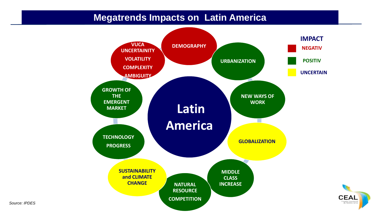#### **Megatrends Impacts on Latin America**



**CEAL** 

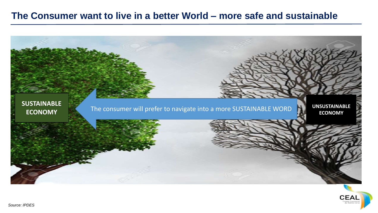#### **The Consumer want to live in a better World – more safe and sustainable**



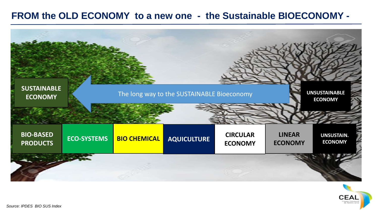#### **FROM the OLD ECONOMY to a new one - the Sustainable BIOECONOMY -**



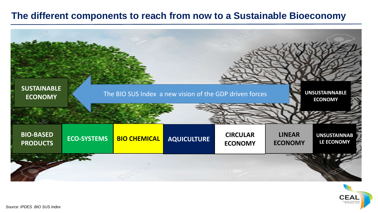#### **The different components to reach from now to a Sustainable Bioeconomy**



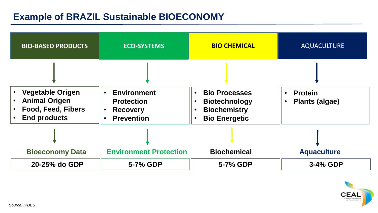#### **Example of BRAZIL Sustainable BIOECONOMY**

| <b>BIO-BASED PRODUCTS</b>                                                                           | <b>ECO-SYSTEMS</b>                                                              | <b>BIO CHEMICAL</b>                                                                         | <b>AQUACULTURE</b>                                                |
|-----------------------------------------------------------------------------------------------------|---------------------------------------------------------------------------------|---------------------------------------------------------------------------------------------|-------------------------------------------------------------------|
|                                                                                                     |                                                                                 |                                                                                             |                                                                   |
| <b>Vegetable Origen</b><br><b>Animal Origen</b><br><b>Food, Feed, Fibers</b><br><b>End products</b> | <b>Environment</b><br><b>Protection</b><br><b>Recovery</b><br><b>Prevention</b> | <b>Bio Processes</b><br><b>Biotechnology</b><br><b>Biochemistry</b><br><b>Bio Energetic</b> | <b>Protein</b><br>$\bullet$<br><b>Plants (algae)</b><br>$\bullet$ |
|                                                                                                     |                                                                                 |                                                                                             |                                                                   |
| <b>Bioeconomy Data</b>                                                                              | <b>Environment Protection</b>                                                   | <b>Biochemical</b>                                                                          | <b>Aquaculture</b>                                                |
| 20-25% do GDP                                                                                       | 5-7% GDP                                                                        | 5-7% GDP                                                                                    | 3-4% GDP                                                          |

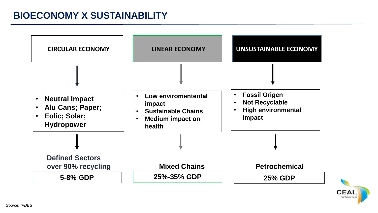#### **BIOECONOMY X SUSTAINABILITY**



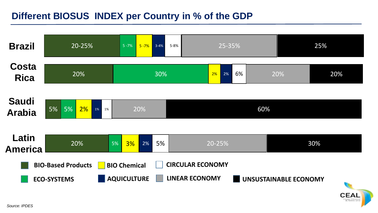#### **Different BIOSUS INDEX per Country in % of the GDP**

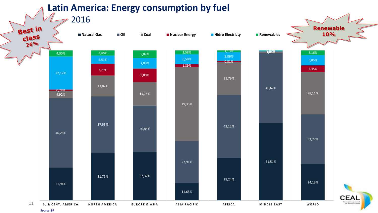

### **Latin America: Energy consumption by fuel**

**Source: BP**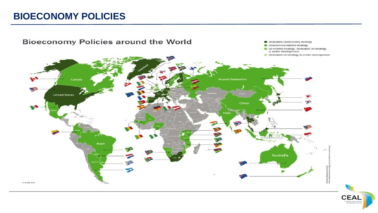#### **BIOECONOMY POLICIES**



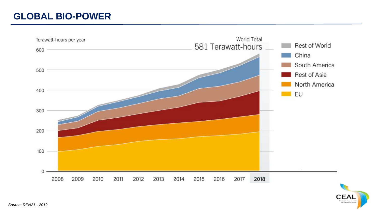#### **GLOBAL BIO-POWER**



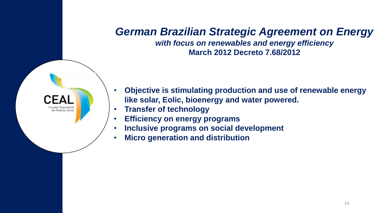## *German Brazilian Strategic Agreement on Energy*

*with focus on renewables and energy efficiency*  **March 2012 Decreto 7.68/2012**

- **Objective is stimulating production and use of renewable energy like solar, Eolic, bioenergy and water powered.**
- **Transfer of technology**

CEAL L

de América Latina

- **Efficiency on energy programs**
- **Inclusive programs on social development**
- **Micro generation and distribution**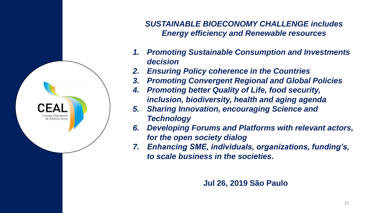

*SUSTAINABLE BIOECONOMY CHALLENGE includes Energy efficiency and Renewable resources* 

- *1. Promoting Sustainable Consumption and Investments decision*
- *2. Ensuring Policy coherence in the Countries*
- *3. Promoting Convergent Regional and Global Policies*
- *4. Promoting better Quality of Life, food security, inclusion, biodiversity, health and aging agenda*
- *5. Sharing Innovation, encouraging Science and Technology*
- *6. Developing Forums and Platforms with relevant actors, for the open society dialog*
- *7. Enhancing SME, individuals, organizations, funding's, to scale business in the societies.*

#### **Jul 26, 2019 São Paulo**